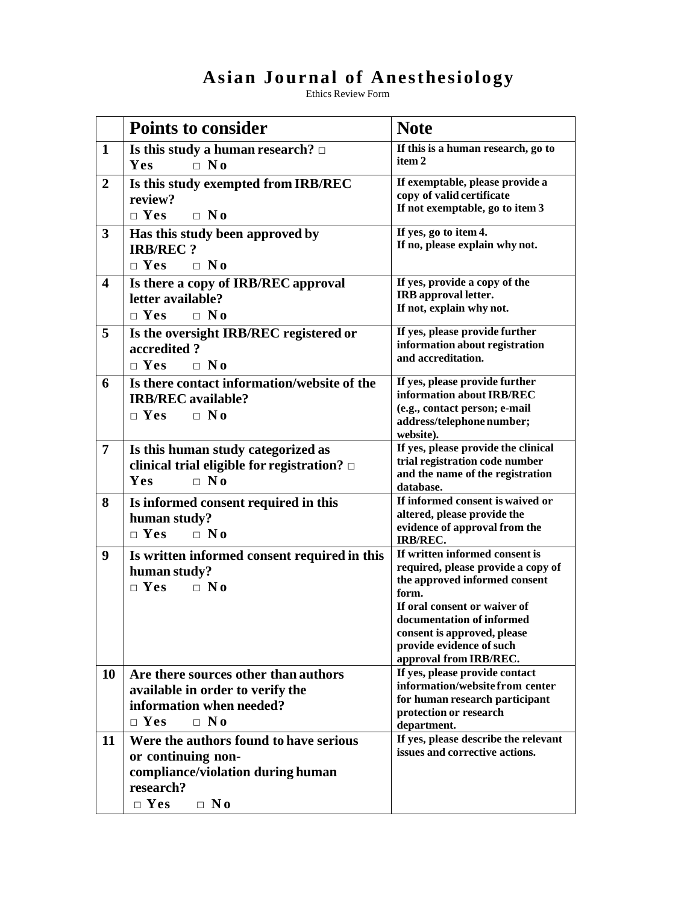## **Asian Journal of Anesthesiology**

Ethics Review Form

|                         | <b>Points to consider</b>                                                                                                                 | <b>Note</b>                                                                                                                                                                                                                                                      |
|-------------------------|-------------------------------------------------------------------------------------------------------------------------------------------|------------------------------------------------------------------------------------------------------------------------------------------------------------------------------------------------------------------------------------------------------------------|
| $\mathbf 1$             | Is this study a human research? $\Box$<br>Yes<br>$\Box$ No                                                                                | If this is a human research, go to<br>item <sub>2</sub>                                                                                                                                                                                                          |
| $\overline{2}$          | Is this study exempted from IRB/REC<br>review?<br>$\Box$ Yes<br>$\Box$ No                                                                 | If exemptable, please provide a<br>copy of valid certificate<br>If not exemptable, go to item 3                                                                                                                                                                  |
| $\mathbf{3}$            | Has this study been approved by<br><b>IRB/REC?</b><br>$\Box$ Yes<br>$\Box$ No                                                             | If yes, go to item 4.<br>If no, please explain why not.                                                                                                                                                                                                          |
| $\overline{\mathbf{4}}$ | Is there a copy of IRB/REC approval<br>letter available?<br>$\Box$ Yes<br>$\Box$ No                                                       | If yes, provide a copy of the<br>IRB approval letter.<br>If not, explain why not.                                                                                                                                                                                |
| 5                       | Is the oversight IRB/REC registered or<br>accredited?<br>$\Box$ Yes<br>$\Box$ No                                                          | If yes, please provide further<br>information about registration<br>and accreditation.                                                                                                                                                                           |
| 6                       | Is there contact information/website of the<br><b>IRB/REC</b> available?<br>$\Box$ Yes<br>$\Box$ No                                       | If yes, please provide further<br>information about IRB/REC<br>(e.g., contact person; e-mail<br>address/telephone number;<br>website).                                                                                                                           |
| 7                       | Is this human study categorized as<br>clinical trial eligible for registration? $\Box$<br>$\Box$ No<br>Yes                                | If yes, please provide the clinical<br>trial registration code number<br>and the name of the registration<br>database.                                                                                                                                           |
| 8                       | Is informed consent required in this<br>human study?<br>$\Box$ Yes<br>$\Box$ No                                                           | If informed consent is waived or<br>altered, please provide the<br>evidence of approval from the<br><b>IRB/REC.</b>                                                                                                                                              |
| 9                       | Is written informed consent required in this<br>human study?<br>$\Box$ Yes<br>$\Box$ No                                                   | If written informed consent is<br>required, please provide a copy of<br>the approved informed consent<br>form.<br>If oral consent or waiver of<br>documentation of informed<br>consent is approved, please<br>provide evidence of such<br>approval from IRB/REC. |
| <b>10</b>               | Are there sources other than authors<br>available in order to verify the<br>information when needed?<br>$\Box$ Yes<br>$\Box$ No           | If yes, please provide contact<br>information/website from center<br>for human research participant<br>protection or research<br>department.                                                                                                                     |
| 11                      | Were the authors found to have serious<br>or continuing non-<br>compliance/violation during human<br>research?<br>$\Box$ Yes<br>$\Box$ No | If yes, please describe the relevant<br>issues and corrective actions.                                                                                                                                                                                           |